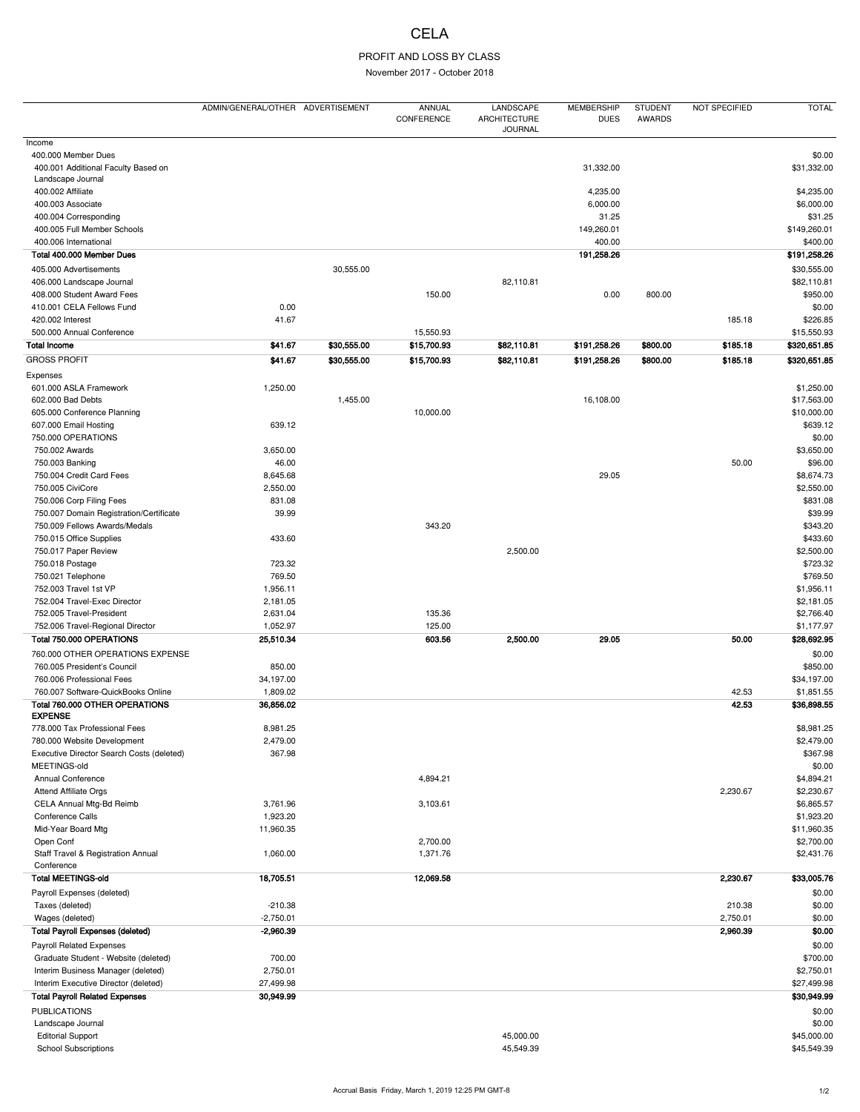## **CELA**

## PROFIT AND LOSS BY CLASS

November 2017 - October 2018

|                                                          | ADMIN/GENERAL/OTHER ADVERTISEMENT |             | <b>ANNUAL</b><br>CONFERENCE | LANDSCAPE<br><b>ARCHITECTURE</b><br><b>JOURNAL</b> | <b>MEMBERSHIP</b><br><b>DUES</b> | <b>STUDENT</b><br><b>AWARDS</b> | NOT SPECIFIED | <b>TOTAL</b> |
|----------------------------------------------------------|-----------------------------------|-------------|-----------------------------|----------------------------------------------------|----------------------------------|---------------------------------|---------------|--------------|
| Income                                                   |                                   |             |                             |                                                    |                                  |                                 |               |              |
| 400.000 Member Dues                                      |                                   |             |                             |                                                    |                                  |                                 |               | \$0.00       |
| 400.001 Additional Faculty Based on<br>Landscape Journal |                                   |             |                             |                                                    | 31,332.00                        |                                 |               | \$31,332.00  |
| 400.002 Affiliate                                        |                                   |             |                             |                                                    | 4,235.00                         |                                 |               | \$4,235.00   |
| 400.003 Associate                                        |                                   |             |                             |                                                    | 6,000.00                         |                                 |               | \$6,000.00   |
| 400.004 Corresponding                                    |                                   |             |                             |                                                    | 31.25                            |                                 |               | \$31.25      |
| 400.005 Full Member Schools                              |                                   |             |                             |                                                    | 149,260.01                       |                                 |               | \$149,260.01 |
|                                                          |                                   |             |                             |                                                    | 400.00                           |                                 |               | \$400.00     |
| 400.006 International                                    |                                   |             |                             |                                                    |                                  |                                 |               |              |
| Total 400.000 Member Dues                                |                                   |             |                             |                                                    | 191,258.26                       |                                 |               | \$191,258.26 |
| 405.000 Advertisements                                   |                                   | 30,555.00   |                             |                                                    |                                  |                                 |               | \$30,555.00  |
| 406.000 Landscape Journal                                |                                   |             |                             | 82,110.81                                          |                                  |                                 |               | \$82,110.81  |
| 408.000 Student Award Fees                               |                                   |             | 150.00                      |                                                    | 0.00                             | 800.00                          |               | \$950.00     |
| 410.001 CELA Fellows Fund                                | 0.00                              |             |                             |                                                    |                                  |                                 |               | \$0.00       |
| 420.002 Interest                                         | 41.67                             |             |                             |                                                    |                                  |                                 | 185.18        | \$226.85     |
| 500.000 Annual Conference                                |                                   |             | 15,550.93                   |                                                    |                                  |                                 |               | \$15,550.93  |
| <b>Total Income</b>                                      | \$41.67                           | \$30,555.00 | \$15,700.93                 | \$82,110.81                                        | \$191,258.26                     | \$800.00                        | \$185.18      | \$320,651.85 |
| <b>GROSS PROFIT</b>                                      | \$41.67                           | \$30,555.00 | \$15,700.93                 | \$82,110.81                                        | \$191,258.26                     | \$800.00                        | \$185.18      | \$320,651.85 |
| Expenses                                                 |                                   |             |                             |                                                    |                                  |                                 |               |              |
| 601.000 ASLA Framework                                   | 1,250.00                          |             |                             |                                                    |                                  |                                 |               | \$1,250.00   |
| 602.000 Bad Debts                                        |                                   | 1,455.00    |                             |                                                    | 16,108.00                        |                                 |               | \$17,563.00  |
| 605.000 Conference Planning                              |                                   |             | 10,000.00                   |                                                    |                                  |                                 |               | \$10,000.00  |
| 607.000 Email Hosting                                    | 639.12                            |             |                             |                                                    |                                  |                                 |               | \$639.12     |
| 750.000 OPERATIONS                                       |                                   |             |                             |                                                    |                                  |                                 |               | \$0.00       |
| 750.002 Awards                                           | 3,650.00                          |             |                             |                                                    |                                  |                                 |               | \$3,650.00   |
| 750.003 Banking                                          | 46.00                             |             |                             |                                                    |                                  |                                 | 50.00         | \$96.00      |
| 750.004 Credit Card Fees                                 | 8,645.68                          |             |                             |                                                    | 29.05                            |                                 |               | \$8,674.73   |
| 750.005 CiviCore                                         | 2,550.00                          |             |                             |                                                    |                                  |                                 |               | \$2,550.00   |
| 750.006 Corp Filing Fees                                 | 831.08                            |             |                             |                                                    |                                  |                                 |               | \$831.08     |
| 750.007 Domain Registration/Certificate                  | 39.99                             |             |                             |                                                    |                                  |                                 |               | \$39.99      |
| 750.009 Fellows Awards/Medals                            |                                   |             | 343.20                      |                                                    |                                  |                                 |               | \$343.20     |
| 750.015 Office Supplies                                  | 433.60                            |             |                             |                                                    |                                  |                                 |               | \$433.60     |
| 750.017 Paper Review                                     |                                   |             |                             | 2,500.00                                           |                                  |                                 |               | \$2,500.00   |
| 750.018 Postage                                          | 723.32                            |             |                             |                                                    |                                  |                                 |               | \$723.32     |
| 750.021 Telephone                                        | 769.50                            |             |                             |                                                    |                                  |                                 |               | \$769.50     |
| 752.003 Travel 1st VP                                    | 1,956.11                          |             |                             |                                                    |                                  |                                 |               | \$1,956.11   |
| 752.004 Travel-Exec Director                             | 2,181.05                          |             |                             |                                                    |                                  |                                 |               | \$2,181.05   |
| 752.005 Travel-President                                 | 2,631.04                          |             | 135.36                      |                                                    |                                  |                                 |               | \$2,766.40   |
| 752.006 Travel-Regional Director                         | 1,052.97                          |             | 125.00                      |                                                    |                                  |                                 |               | \$1,177.97   |
| Total 750.000 OPERATIONS                                 | 25,510.34                         |             | 603.56                      | 2,500.00                                           | 29.05                            |                                 | 50.00         | \$28,692.95  |
|                                                          |                                   |             |                             |                                                    |                                  |                                 |               |              |
| 760.000 OTHER OPERATIONS EXPENSE                         |                                   |             |                             |                                                    |                                  |                                 |               | \$0.00       |
| 760.005 President's Council                              | 850.00                            |             |                             |                                                    |                                  |                                 |               | \$850.00     |
| 760.006 Professional Fees                                | 34,197.00                         |             |                             |                                                    |                                  |                                 |               | \$34,197.00  |
| 760.007 Software-QuickBooks Online                       | 1,809.02                          |             |                             |                                                    |                                  |                                 | 42.53         | \$1,851.55   |
| Total 760.000 OTHER OPERATIONS<br><b>EXPENSE</b>         | 36,856.02                         |             |                             |                                                    |                                  |                                 | 42.53         | \$36,898.55  |
| 778.000 Tax Professional Fees                            | 8,981.25                          |             |                             |                                                    |                                  |                                 |               | \$8,981.25   |
| 780.000 Website Development                              | 2,479.00                          |             |                             |                                                    |                                  |                                 |               | \$2,479.00   |
| Executive Director Search Costs (deleted)                | 367.98                            |             |                             |                                                    |                                  |                                 |               | \$367.98     |
| MEETINGS-old                                             |                                   |             |                             |                                                    |                                  |                                 |               | \$0.00       |
| Annual Conference                                        |                                   |             | 4,894.21                    |                                                    |                                  |                                 |               | \$4,894.21   |
| <b>Attend Affiliate Orgs</b>                             |                                   |             |                             |                                                    |                                  |                                 | 2,230.67      | \$2,230.67   |
| CELA Annual Mtg-Bd Reimb                                 | 3,761.96                          |             | 3,103.61                    |                                                    |                                  |                                 |               | \$6,865.57   |
| Conference Calls                                         | 1,923.20                          |             |                             |                                                    |                                  |                                 |               | \$1,923.20   |
| Mid-Year Board Mtg                                       | 11,960.35                         |             |                             |                                                    |                                  |                                 |               | \$11,960.35  |
| Open Conf                                                |                                   |             | 2,700.00                    |                                                    |                                  |                                 |               | \$2,700.00   |
| Staff Travel & Registration Annual                       | 1,060.00                          |             | 1,371.76                    |                                                    |                                  |                                 |               | \$2,431.76   |
| Conference<br><b>Total MEETINGS-old</b>                  | 18,705.51                         |             | 12,069.58                   |                                                    |                                  |                                 | 2,230.67      | \$33,005.76  |
| Payroll Expenses (deleted)                               |                                   |             |                             |                                                    |                                  |                                 |               | \$0.00       |
| Taxes (deleted)                                          | $-210.38$                         |             |                             |                                                    |                                  |                                 | 210.38        | \$0.00       |
| Wages (deleted)                                          | $-2,750.01$                       |             |                             |                                                    |                                  |                                 | 2,750.01      | \$0.00       |
| <b>Total Payroll Expenses (deleted)</b>                  | $-2,960.39$                       |             |                             |                                                    |                                  |                                 | 2,960.39      | \$0.00       |
|                                                          |                                   |             |                             |                                                    |                                  |                                 |               |              |
| <b>Payroll Related Expenses</b>                          |                                   |             |                             |                                                    |                                  |                                 |               | \$0.00       |
| Graduate Student - Website (deleted)                     | 700.00                            |             |                             |                                                    |                                  |                                 |               | \$700.00     |
| Interim Business Manager (deleted)                       | 2,750.01                          |             |                             |                                                    |                                  |                                 |               | \$2,750.01   |
| Interim Executive Director (deleted)                     | 27,499.98                         |             |                             |                                                    |                                  |                                 |               | \$27,499.98  |
| <b>Total Payroll Related Expenses</b>                    | 30,949.99                         |             |                             |                                                    |                                  |                                 |               | \$30,949.99  |
| <b>PUBLICATIONS</b>                                      |                                   |             |                             |                                                    |                                  |                                 |               | \$0.00       |
| Landscape Journal                                        |                                   |             |                             |                                                    |                                  |                                 |               | \$0.00       |
| <b>Editorial Support</b>                                 |                                   |             |                             | 45,000.00                                          |                                  |                                 |               | \$45,000.00  |
| <b>School Subscriptions</b>                              |                                   |             |                             | 45,549.39                                          |                                  |                                 |               | \$45,549.39  |